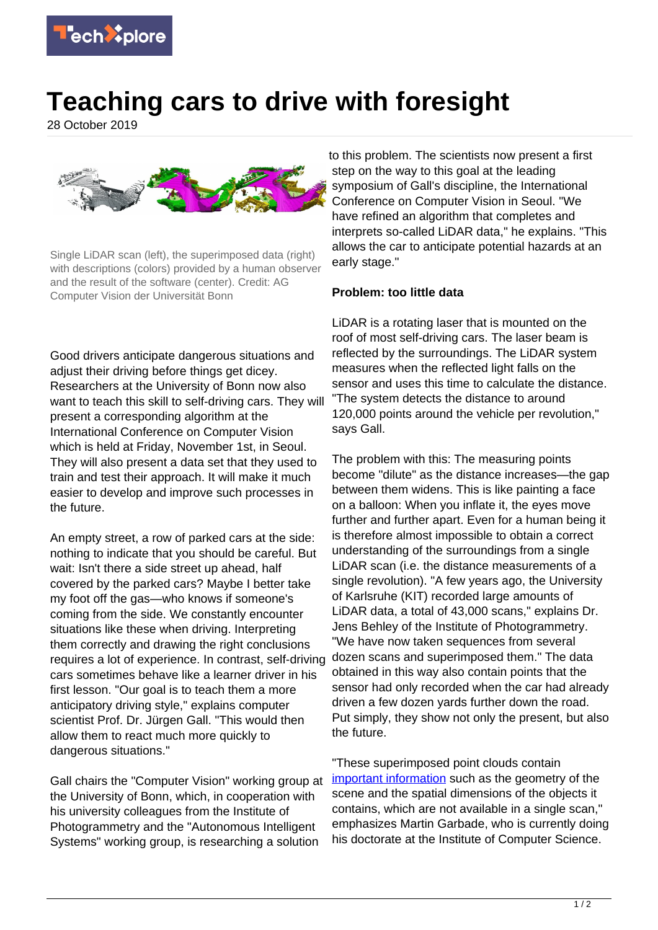

## **Teaching cars to drive with foresight**

28 October 2019



Single LiDAR scan (left), the superimposed data (right) with descriptions (colors) provided by a human observer and the result of the software (center). Credit: AG Computer Vision der Universität Bonn

Good drivers anticipate dangerous situations and adiust their driving before things get dicey. Researchers at the University of Bonn now also want to teach this skill to self-driving cars. They will present a corresponding algorithm at the International Conference on Computer Vision which is held at Friday, November 1st, in Seoul. They will also present a data set that they used to train and test their approach. It will make it much easier to develop and improve such processes in the future.

An empty street, a row of parked cars at the side: nothing to indicate that you should be careful. But wait: Isn't there a side street up ahead, half covered by the parked cars? Maybe I better take my foot off the gas—who knows if someone's coming from the side. We constantly encounter situations like these when driving. Interpreting them correctly and drawing the right conclusions requires a lot of experience. In contrast, self-driving cars sometimes behave like a learner driver in his first lesson. "Our goal is to teach them a more anticipatory driving style," explains computer scientist Prof. Dr. Jürgen Gall. "This would then allow them to react much more quickly to dangerous situations."

Gall chairs the "Computer Vision" working group at the University of Bonn, which, in cooperation with his university colleagues from the Institute of Photogrammetry and the "Autonomous Intelligent Systems" working group, is researching a solution

to this problem. The scientists now present a first step on the way to this goal at the leading symposium of Gall's discipline, the International Conference on Computer Vision in Seoul. "We have refined an algorithm that completes and interprets so-called LiDAR data," he explains. "This allows the car to anticipate potential hazards at an early stage."

## **Problem: too little data**

LiDAR is a rotating laser that is mounted on the roof of most self-driving cars. The laser beam is reflected by the surroundings. The LiDAR system measures when the reflected light falls on the sensor and uses this time to calculate the distance. "The system detects the distance to around 120,000 points around the vehicle per revolution," says Gall.

The problem with this: The measuring points become "dilute" as the distance increases—the gap between them widens. This is like painting a face on a balloon: When you inflate it, the eyes move further and further apart. Even for a human being it is therefore almost impossible to obtain a correct understanding of the surroundings from a single LiDAR scan (i.e. the distance measurements of a single revolution). "A few years ago, the University of Karlsruhe (KIT) recorded large amounts of LiDAR data, a total of 43,000 scans," explains Dr. Jens Behley of the Institute of Photogrammetry. "We have now taken sequences from several dozen scans and superimposed them." The data obtained in this way also contain points that the sensor had only recorded when the car had already driven a few dozen yards further down the road. Put simply, they show not only the present, but also the future.

"These superimposed point clouds contain [important information](https://techxplore.com/tags/important+information/) such as the geometry of the scene and the spatial dimensions of the objects it contains, which are not available in a single scan," emphasizes Martin Garbade, who is currently doing his doctorate at the Institute of Computer Science.